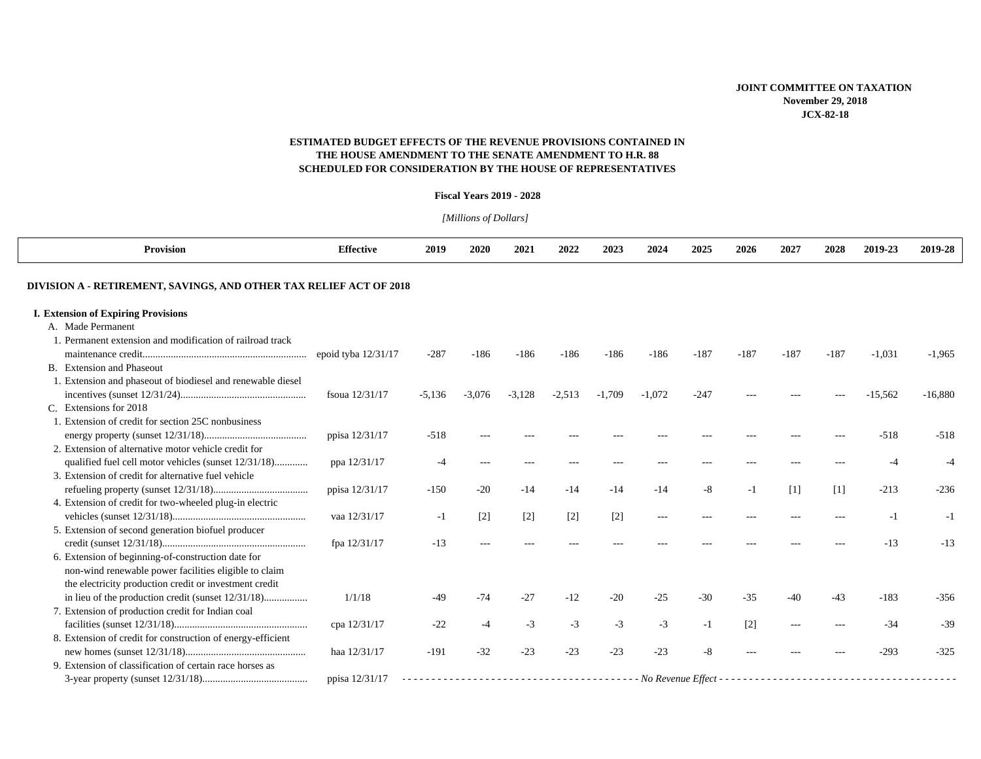# **ESTIMATED BUDGET EFFECTS OF THE REVENUE PROVISIONS CONTAINED INTHE HOUSE AMENDMENT TO THE SENATE AMENDMENT TO H.R. 88 SCHEDULED FOR CONSIDERATION BY THE HOUSE OF REPRESENTATIVES**

#### **Fiscal Years 2019 - 2028**

*[Millions of Dollars]* 

| <b>Provision</b>                                                   | <b>Effective</b>      | 2019     | 2020              | 2021     | 2022     | 2023              | 2024          | 2025   | 2026    | 2027              | 2028   | 2019-23   | 2019-28   |
|--------------------------------------------------------------------|-----------------------|----------|-------------------|----------|----------|-------------------|---------------|--------|---------|-------------------|--------|-----------|-----------|
| DIVISION A - RETIREMENT, SAVINGS, AND OTHER TAX RELIEF ACT OF 2018 |                       |          |                   |          |          |                   |               |        |         |                   |        |           |           |
| <b>I. Extension of Expiring Provisions</b>                         |                       |          |                   |          |          |                   |               |        |         |                   |        |           |           |
| A. Made Permanent                                                  |                       |          |                   |          |          |                   |               |        |         |                   |        |           |           |
| 1. Permanent extension and modification of railroad track          |                       |          |                   |          |          |                   |               |        |         |                   |        |           |           |
|                                                                    | epoid tyba $12/31/17$ | $-287$   | $-186$            | $-186$   | $-186$   | $-186$            | $-186$        | $-187$ | $-187$  | $-187$            | $-187$ | $-1,031$  | $-1,965$  |
| B. Extension and Phaseout                                          |                       |          |                   |          |          |                   |               |        |         |                   |        |           |           |
| 1. Extension and phaseout of biodiesel and renewable diesel        |                       |          |                   |          |          |                   |               |        |         |                   |        |           |           |
|                                                                    | fsoua 12/31/17        | $-5,136$ | $-3,076$          | $-3,128$ | $-2,513$ | $-1.709$          | $-1,072$      | $-247$ |         |                   |        | $-15,562$ | $-16,880$ |
| C. Extensions for 2018                                             |                       |          |                   |          |          |                   |               |        |         |                   |        |           |           |
| 1. Extension of credit for section 25C nonbusiness                 |                       |          |                   |          |          |                   |               |        |         |                   |        |           |           |
|                                                                    | ppisa 12/31/17        | $-518$   |                   |          |          |                   |               |        |         |                   |        | $-518$    | $-518$    |
| 2. Extension of alternative motor vehicle credit for               |                       |          |                   |          |          |                   |               |        |         |                   |        |           |           |
| qualified fuel cell motor vehicles (sunset 12/31/18)               | ppa 12/31/17          | $-4$     | ---               | ---      | $- - -$  |                   |               |        |         |                   |        | -4        |           |
| 3. Extension of credit for alternative fuel vehicle                |                       |          |                   |          |          |                   |               |        |         |                   |        |           |           |
|                                                                    | ppisa 12/31/17        | $-150$   | $-20$             | $-14$    | $-14$    | $-14$             | $-14$         | $-8$   | $-1$    | $\lceil 1 \rceil$ | [1]    | $-213$    | $-236$    |
| 4. Extension of credit for two-wheeled plug-in electric            |                       |          |                   |          |          |                   |               |        |         |                   |        |           |           |
|                                                                    | vaa 12/31/17          | -1       | $\lceil 2 \rceil$ | $[2]$    | $[2]$    | $\lceil 2 \rceil$ | $\frac{1}{2}$ |        | $- - -$ |                   |        | $-1$      | $-1$      |
| 5. Extension of second generation biofuel producer                 |                       |          |                   |          |          |                   |               |        |         |                   |        |           |           |
|                                                                    | fpa 12/31/17          | $-13$    |                   |          |          |                   |               |        |         |                   |        | $-13$     | $-13$     |
| 6. Extension of beginning-of-construction date for                 |                       |          |                   |          |          |                   |               |        |         |                   |        |           |           |
| non-wind renewable power facilities eligible to claim              |                       |          |                   |          |          |                   |               |        |         |                   |        |           |           |
| the electricity production credit or investment credit             |                       |          |                   |          |          |                   |               |        |         |                   |        |           |           |
| in lieu of the production credit (sunset 12/31/18)                 | 1/1/18                | $-49$    | $-74$             | $-27$    | $-12$    | $-20$             | $-25$         | $-30$  | $-35$   | $-40$             | $-43$  | $-183$    | $-356$    |
| 7. Extension of production credit for Indian coal                  |                       |          |                   |          |          |                   |               |        |         |                   |        |           |           |
|                                                                    | сра 12/31/17          | $-22$    | $-4$              | $-3$     | $-3$     | $-3$              | $-3$          | $-1$   | $[2]$   | $---$             |        | $-34$     | $-39$     |
| 8. Extension of credit for construction of energy-efficient        |                       |          |                   |          |          |                   |               |        |         |                   |        |           |           |
|                                                                    | haa 12/31/17          | $-191$   | $-32$             | $-23$    | $-23$    | $-23$             | $-23$         | -8     |         |                   |        | $-293$    | $-325$    |
| 9. Extension of classification of certain race horses as           |                       |          |                   |          |          |                   |               |        |         |                   |        |           |           |
|                                                                    | ppisa 12/31/17        |          |                   |          |          |                   |               |        |         |                   |        |           |           |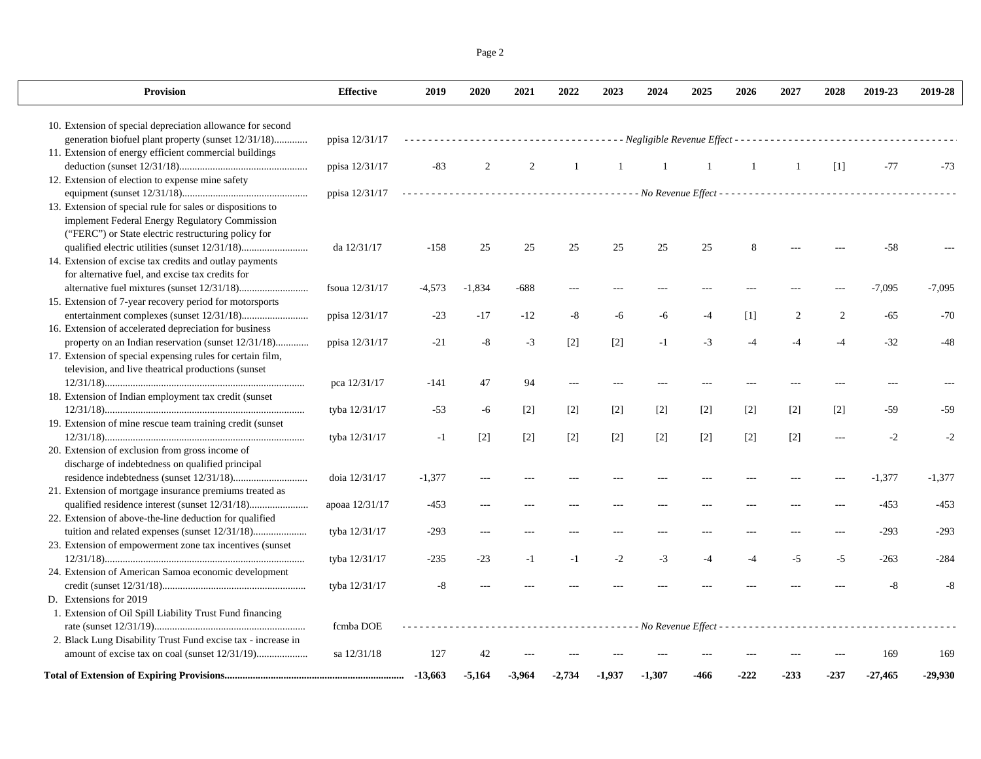| <b>Provision</b>                                             | <b>Effective</b> | 2019     | 2020     | 2021   | 2022  | 2023         | 2024  | 2025  | 2026  | 2027  | 2028              | 2019-23                                                                           | 2019-28  |
|--------------------------------------------------------------|------------------|----------|----------|--------|-------|--------------|-------|-------|-------|-------|-------------------|-----------------------------------------------------------------------------------|----------|
| 10. Extension of special depreciation allowance for second   |                  |          |          |        |       |              |       |       |       |       |                   |                                                                                   |          |
| generation biofuel plant property (sunset 12/31/18)          | ppisa 12/31/17   |          |          |        |       |              |       |       |       |       |                   | --------------------- Negligible Revenue Effect --------------------------------- |          |
| 11. Extension of energy efficient commercial buildings       |                  |          |          |        |       |              |       |       |       |       |                   |                                                                                   |          |
|                                                              | ppisa 12/31/17   | $-83$    | 2        | 2      | 1     | $\mathbf{1}$ | -1    | -1    | -1    | 1     | $\lceil 1 \rceil$ | $-77$                                                                             | $-73$    |
| 12. Extension of election to expense mine safety             |                  |          |          |        |       |              |       |       |       |       |                   |                                                                                   |          |
|                                                              | ppisa 12/31/17   |          |          |        |       |              |       |       |       |       |                   |                                                                                   |          |
| 13. Extension of special rule for sales or dispositions to   |                  |          |          |        |       |              |       |       |       |       |                   |                                                                                   |          |
| implement Federal Energy Regulatory Commission               |                  |          |          |        |       |              |       |       |       |       |                   |                                                                                   |          |
| ("FERC") or State electric restructuring policy for          |                  |          |          |        |       |              |       |       |       |       |                   |                                                                                   |          |
|                                                              | da 12/31/17      | $-158$   | 25       | 25     | 25    | 25           | 25    | 25    | 8     |       |                   | $-58$                                                                             |          |
| 14. Extension of excise tax credits and outlay payments      |                  |          |          |        |       |              |       |       |       |       |                   |                                                                                   |          |
| for alternative fuel, and excise tax credits for             |                  |          |          |        |       |              |       |       |       |       |                   |                                                                                   |          |
|                                                              | fsoua 12/31/17   | $-4,573$ | $-1.834$ | $-688$ |       |              |       |       |       |       |                   | $-7,095$                                                                          | $-7.095$ |
| 15. Extension of 7-year recovery period for motorsports      |                  |          |          |        |       |              |       |       |       |       |                   |                                                                                   |          |
|                                                              | ppisa 12/31/17   | $-23$    | $-17$    | $-12$  | -8    | -6           | -6    | $-4$  | $[1]$ | 2     | 2                 | $-65$                                                                             | $-70$    |
| 16. Extension of accelerated depreciation for business       |                  |          |          |        |       |              |       |       |       |       |                   |                                                                                   |          |
| property on an Indian reservation (sunset 12/31/18)          | ppisa 12/31/17   | $-21$    | $-8$     | $-3$   | $[2]$ | $[2]$        | $-1$  | $-3$  | $-4$  |       |                   | $-32$                                                                             | $-48$    |
| 17. Extension of special expensing rules for certain film,   |                  |          |          |        |       |              |       |       |       |       |                   |                                                                                   |          |
| television, and live theatrical productions (sunset          |                  |          |          |        |       |              |       |       |       |       |                   |                                                                                   |          |
|                                                              | pca 12/31/17     | $-141$   | 47       | 94     |       |              |       |       |       |       |                   |                                                                                   |          |
| 18. Extension of Indian employment tax credit (sunset)       |                  |          |          |        |       |              |       |       |       |       |                   |                                                                                   |          |
|                                                              | tyba 12/31/17    | $-53$    | -6       | $[2]$  | $[2]$ | $[2]$        | $[2]$ | $[2]$ | $[2]$ | $[2]$ | $[2]$             | $-59$                                                                             | $-59$    |
| 19. Extension of mine rescue team training credit (sunset    |                  |          |          |        |       |              |       |       |       |       |                   |                                                                                   |          |
|                                                              | tyba 12/31/17    | $-1$     | $[2]$    | $[2]$  | $[2]$ | $[2]$        | $[2]$ | $[2]$ | $[2]$ | $[2]$ | $\sim$            | $-2$                                                                              | $-2$     |
| 20. Extension of exclusion from gross income of              |                  |          |          |        |       |              |       |       |       |       |                   |                                                                                   |          |
| discharge of indebtedness on qualified principal             |                  |          |          |        |       |              |       |       |       |       |                   |                                                                                   |          |
|                                                              | doia 12/31/17    | $-1,377$ |          |        |       |              |       |       |       |       |                   | $-1,377$                                                                          | $-1,377$ |
| 21. Extension of mortgage insurance premiums treated as      |                  |          |          |        |       |              |       |       |       |       |                   |                                                                                   |          |
|                                                              | apoaa 12/31/17   | $-453$   | $---$    |        |       |              |       |       |       |       |                   | $-453$                                                                            | $-453$   |
| 22. Extension of above-the-line deduction for qualified      |                  |          |          |        |       |              |       |       |       |       |                   |                                                                                   |          |
|                                                              | tyba 12/31/17    | $-293$   | ---      |        |       |              |       |       |       |       |                   | $-293$                                                                            | $-293$   |
| 23. Extension of empowerment zone tax incentives (sunset     |                  |          |          |        |       |              |       |       |       |       |                   |                                                                                   |          |
|                                                              | tyba 12/31/17    | $-235$   | $-23$    | $-1$   | $-1$  | $-2$         | $-3$  | $-4$  | $-4$  | $-5$  | $-5$              | $-263$                                                                            | $-284$   |
| 24. Extension of American Samoa economic development         |                  |          |          |        |       |              |       |       |       |       |                   |                                                                                   |          |
|                                                              | tyba 12/31/17    | $-8$     |          |        |       |              |       |       |       |       |                   | -8                                                                                | -8       |
| D. Extensions for 2019                                       |                  |          |          |        |       |              |       |       |       |       |                   |                                                                                   |          |
| 1. Extension of Oil Spill Liability Trust Fund financing     |                  |          |          |        |       |              |       |       |       |       |                   |                                                                                   |          |
|                                                              | fcmba DOE        |          |          |        |       |              |       |       |       |       |                   |                                                                                   |          |
| 2. Black Lung Disability Trust Fund excise tax - increase in |                  |          |          |        |       |              |       |       |       |       |                   |                                                                                   |          |
| amount of excise tax on coal (sunset 12/31/19)               | sa 12/31/18      | 127      | 42       |        |       |              |       |       |       |       |                   | 169                                                                               | 169      |

**Total of Extension of Expiring Provisions...................................................................... -13,663 -5,164 -3,964 -2,734 -1,937 -1,307 -466 -222 -233 -237 -27,465 -29,930**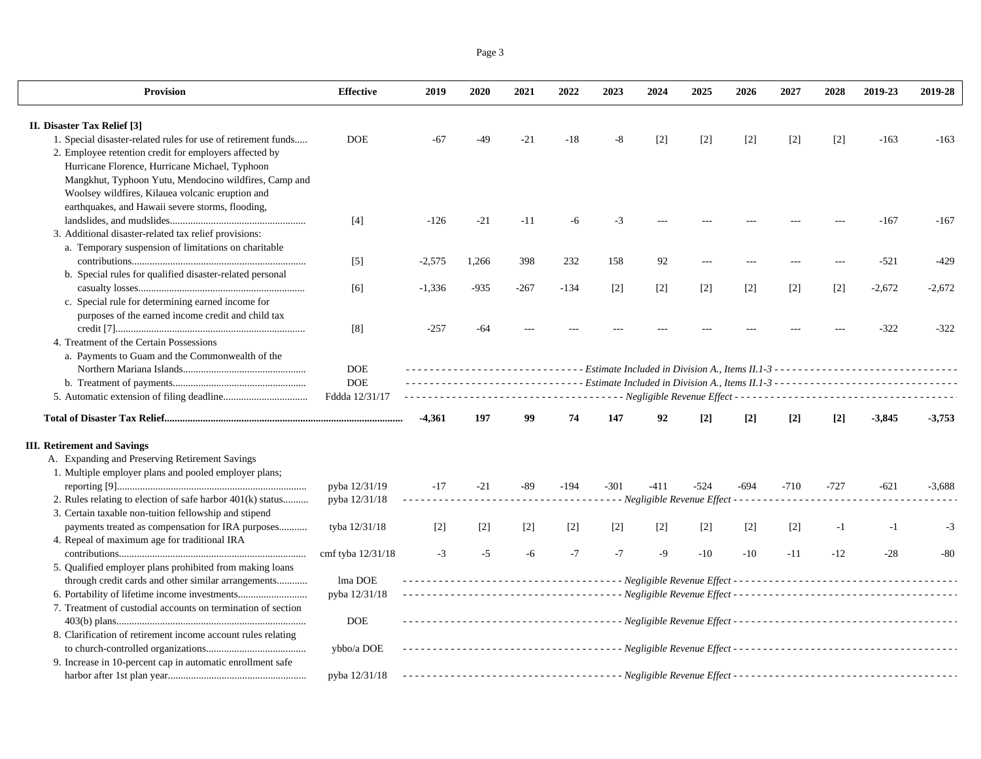Page 3

| Provision                                                     | <b>Effective</b>  | 2019     | 2020   | 2021   | 2022   | 2023   | 2024              | 2025                                                            | 2026   | 2027              | 2028              | 2019-23  | 2019-28  |
|---------------------------------------------------------------|-------------------|----------|--------|--------|--------|--------|-------------------|-----------------------------------------------------------------|--------|-------------------|-------------------|----------|----------|
| II. Disaster Tax Relief [3]                                   |                   |          |        |        |        |        |                   |                                                                 |        |                   |                   |          |          |
| 1. Special disaster-related rules for use of retirement funds | <b>DOE</b>        | -67      | -49    | $-21$  | $-18$  | -8     | $\lceil 2 \rceil$ | $[2]$                                                           | $[2]$  | $\lceil 2 \rceil$ | $\lceil 2 \rceil$ | $-163$   | $-163$   |
| 2. Employee retention credit for employers affected by        |                   |          |        |        |        |        |                   |                                                                 |        |                   |                   |          |          |
| Hurricane Florence, Hurricane Michael, Typhoon                |                   |          |        |        |        |        |                   |                                                                 |        |                   |                   |          |          |
| Mangkhut, Typhoon Yutu, Mendocino wildfires, Camp and         |                   |          |        |        |        |        |                   |                                                                 |        |                   |                   |          |          |
| Woolsey wildfires, Kilauea volcanic eruption and              |                   |          |        |        |        |        |                   |                                                                 |        |                   |                   |          |          |
| earthquakes, and Hawaii severe storms, flooding,              |                   |          |        |        |        |        |                   |                                                                 |        |                   |                   |          |          |
|                                                               | $[4]$             | $-126$   | $-21$  | $-11$  | -6     | $-3$   |                   |                                                                 |        |                   |                   | $-167$   | $-167$   |
| 3. Additional disaster-related tax relief provisions:         |                   |          |        |        |        |        |                   |                                                                 |        |                   |                   |          |          |
| a. Temporary suspension of limitations on charitable          |                   |          |        |        |        |        |                   |                                                                 |        |                   |                   |          |          |
|                                                               | $[5]$             | $-2,575$ | 1,266  | 398    | 232    | 158    | 92                |                                                                 |        |                   |                   | $-521$   | $-429$   |
| b. Special rules for qualified disaster-related personal      |                   |          |        |        |        |        |                   |                                                                 |        |                   |                   |          |          |
|                                                               |                   |          |        |        |        |        |                   |                                                                 | $[2]$  |                   |                   | $-2,672$ | $-2,672$ |
|                                                               | [6]               | $-1,336$ | $-935$ | $-267$ | $-134$ | $[2]$  | $[2]$             | $[2]$                                                           |        | $[2]$             | $[2]$             |          |          |
| c. Special rule for determining earned income for             |                   |          |        |        |        |        |                   |                                                                 |        |                   |                   |          |          |
| purposes of the earned income credit and child tax            |                   |          |        |        |        |        |                   |                                                                 |        |                   |                   |          |          |
|                                                               | [8]               | $-257$   | -64    |        |        |        |                   |                                                                 |        |                   |                   | $-322$   | $-322$   |
| 4. Treatment of the Certain Possessions                       |                   |          |        |        |        |        |                   |                                                                 |        |                   |                   |          |          |
| a. Payments to Guam and the Commonwealth of the               |                   |          |        |        |        |        |                   |                                                                 |        |                   |                   |          |          |
|                                                               | $\rm DOE$         |          |        |        |        |        |                   |                                                                 |        |                   |                   |          |          |
|                                                               | <b>DOE</b>        |          |        |        |        |        |                   |                                                                 |        |                   |                   |          |          |
|                                                               | Fddda 12/31/17    |          |        |        |        |        |                   | - - - Negligible Revenue Effect - - - - - - - - - - - - - - - - |        |                   |                   |          |          |
|                                                               |                   | $-4,361$ | 197    | 99     | 74     | 147    | 92                | $[2]$                                                           | $[2]$  | $[2]$             | $[2]$             | $-3,845$ | $-3,753$ |
| <b>III.</b> Retirement and Savings                            |                   |          |        |        |        |        |                   |                                                                 |        |                   |                   |          |          |
| A. Expanding and Preserving Retirement Savings                |                   |          |        |        |        |        |                   |                                                                 |        |                   |                   |          |          |
| 1. Multiple employer plans and pooled employer plans;         |                   |          |        |        |        |        |                   |                                                                 |        |                   |                   |          |          |
|                                                               | pyba 12/31/19     | $-17$    | $-21$  | -89    | $-194$ | $-301$ | $-411$            | $-524$                                                          | $-694$ | $-710$            | $-727$            | $-621$   | $-3.688$ |
| 2. Rules relating to election of safe harbor 401(k) status    | pyba 12/31/18     |          | .      |        |        |        |                   | ----------- Negligible Revenue Effect ------------              |        |                   |                   |          |          |
| 3. Certain taxable non-tuition fellowship and stipend         |                   |          |        |        |        |        |                   |                                                                 |        |                   |                   |          |          |
| payments treated as compensation for IRA purposes             | tyba 12/31/18     | $[2]$    | $[2]$  | $[2]$  | $[2]$  | $[2]$  | $\lceil 2 \rceil$ | $[2]$                                                           | $[2]$  | $[2]$             | $-1$              | $-1$     | $-3$     |
| 4. Repeal of maximum age for traditional IRA                  |                   |          |        |        |        |        |                   |                                                                 |        |                   |                   |          |          |
|                                                               | cmf tyba 12/31/18 | $-3$     | $-5$   | -6     | $-7$   | $-7$   | $-9$              | $-10$                                                           | $-10$  | $-11$             | $-12$             | $-28$    | $-80$    |
| 5. Qualified employer plans prohibited from making loans      |                   |          |        |        |        |        |                   |                                                                 |        |                   |                   |          |          |
| through credit cards and other similar arrangements           | lma DOE           |          |        |        |        |        |                   |                                                                 |        |                   |                   |          |          |
| 6. Portability of lifetime income investments                 | pyba 12/31/18     |          |        |        |        |        |                   |                                                                 |        |                   |                   |          |          |
| 7. Treatment of custodial accounts on termination of section  |                   |          |        |        |        |        |                   |                                                                 |        |                   |                   |          |          |
|                                                               | <b>DOE</b>        |          |        |        |        |        |                   |                                                                 |        |                   |                   |          |          |
| 8. Clarification of retirement income account rules relating  |                   |          |        |        |        |        |                   |                                                                 |        |                   |                   |          |          |
|                                                               | ybbo/a DOE        |          |        |        |        |        |                   |                                                                 |        |                   |                   |          |          |
| 9. Increase in 10-percent cap in automatic enrollment safe    |                   |          |        |        |        |        |                   |                                                                 |        |                   |                   |          |          |
|                                                               |                   |          |        |        |        |        |                   |                                                                 |        |                   |                   |          |          |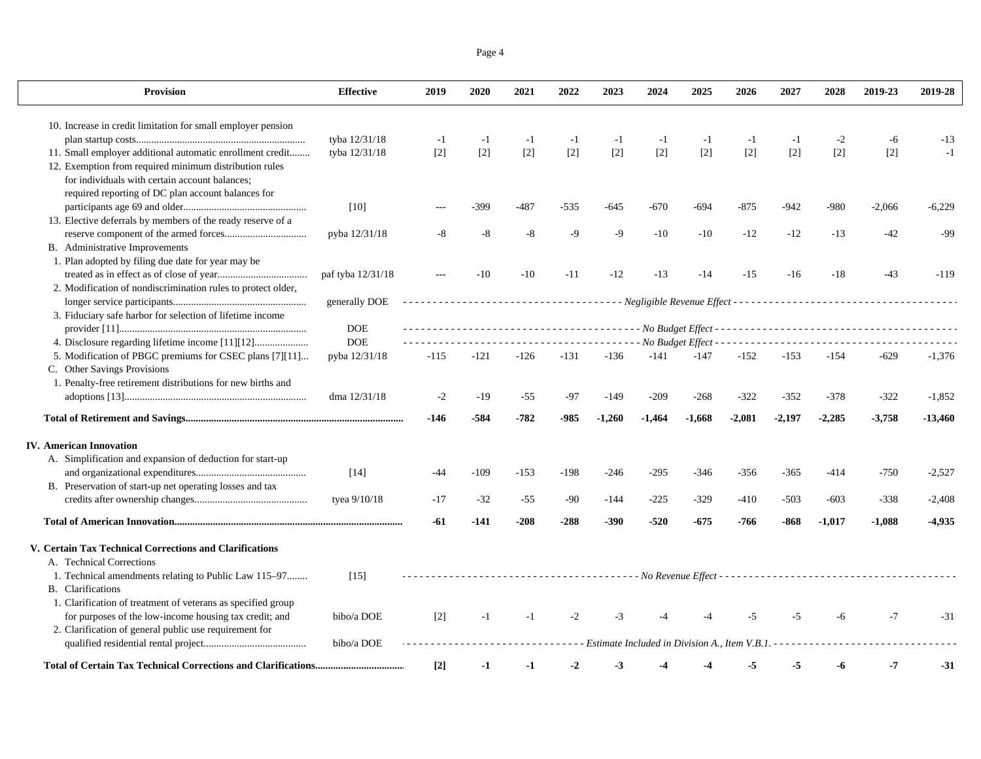|--|--|

| <b>Provision</b>                                             | <b>Effective</b>  | 2019              | 2020   | 2021   | 2022   | 2023     | 2024     | 2025                                          | 2026     | 2027     | 2028     | 2019-23  | 2019-28   |
|--------------------------------------------------------------|-------------------|-------------------|--------|--------|--------|----------|----------|-----------------------------------------------|----------|----------|----------|----------|-----------|
| 10. Increase in credit limitation for small employer pension |                   |                   |        |        |        |          |          |                                               |          |          |          |          |           |
|                                                              | tyba 12/31/18     | $-1$              | $-1$   | $-1$   | $-1$   | $-1$     | $-1$     | $-1$                                          | $-1$     | $-1$     | $-2$     | -6       | $-13$     |
| 11. Small employer additional automatic enrollment credit    | tyba 12/31/18     | $[2]$             | $[2]$  | $[2]$  | $[2]$  | $[2]$    | $[2]$    | $[2]$                                         | $[2]$    | $[2]$    | $[2]$    | $[2]$    | $-1$      |
| 12. Exemption from required minimum distribution rules       |                   |                   |        |        |        |          |          |                                               |          |          |          |          |           |
| for individuals with certain account balances;               |                   |                   |        |        |        |          |          |                                               |          |          |          |          |           |
| required reporting of DC plan account balances for           |                   |                   |        |        |        |          |          |                                               |          |          |          |          |           |
|                                                              | [10]              |                   | -399   | $-487$ | $-535$ | $-645$   | $-670$   | $-694$                                        | $-875$   | $-942$   | $-980$   | $-2,066$ | $-6,229$  |
| 13. Elective deferrals by members of the ready reserve of a  |                   |                   |        |        |        |          |          |                                               |          |          |          |          |           |
|                                                              | pyba 12/31/18     | -8                | -8     | $-8$   | $-9$   | $-9$     | $-10$    | $-10$                                         | $-12$    | $-12$    | $-13$    | $-42$    | -99       |
| B. Administrative Improvements                               |                   |                   |        |        |        |          |          |                                               |          |          |          |          |           |
| 1. Plan adopted by filing due date for year may be           |                   |                   |        |        |        |          |          |                                               |          |          |          |          |           |
|                                                              | paf tyba 12/31/18 |                   | $-10$  | $-10$  | $-11$  | $-12$    | $-13$    | $-14$                                         | $-15$    | $-16$    | $-18$    | $-43$    | $-119$    |
| 2. Modification of nondiscrimination rules to protect older, |                   |                   |        |        |        |          |          |                                               |          |          |          |          |           |
|                                                              | generally DOE     |                   |        |        |        |          |          |                                               |          |          |          |          |           |
| 3. Fiduciary safe harbor for selection of lifetime income    |                   |                   |        |        |        |          |          |                                               |          |          |          |          |           |
|                                                              | <b>DOE</b>        |                   |        |        |        |          |          |                                               |          |          |          |          |           |
|                                                              | <b>DOE</b>        |                   |        |        |        | .        |          | - No Budget Effect - - - - - - - - -          |          |          |          |          |           |
| 5. Modification of PBGC premiums for CSEC plans [7][11]      | pyba 12/31/18     | $-115$            | -121   | $-126$ | $-131$ | $-136$   | $-141$   | $-147$                                        | $-152$   | $-153$   | $-154$   | $-629$   | $-1,376$  |
| C. Other Savings Provisions                                  |                   |                   |        |        |        |          |          |                                               |          |          |          |          |           |
| 1. Penalty-free retirement distributions for new births and  |                   |                   |        |        |        |          |          |                                               |          |          |          |          |           |
|                                                              | dma 12/31/18      | $-2$              | $-19$  | $-55$  | $-97$  | $-149$   | $-209$   | $-268$                                        | $-322$   | $-352$   | $-378$   | $-322$   | $-1,852$  |
|                                                              |                   |                   |        |        |        |          |          |                                               |          |          |          |          |           |
|                                                              |                   | -146              | $-584$ | $-782$ | $-985$ | $-1,260$ | $-1,464$ | $-1,668$                                      | $-2,081$ | $-2.197$ | $-2,285$ | $-3,758$ | $-13,460$ |
| <b>IV.</b> American Innovation                               |                   |                   |        |        |        |          |          |                                               |          |          |          |          |           |
| A. Simplification and expansion of deduction for start-up    |                   |                   |        |        |        |          |          |                                               |          |          |          |          |           |
|                                                              | $[14]$            | -44               | -109   | $-153$ | $-198$ | $-246$   | $-295$   | $-346$                                        | $-356$   | $-365$   | $-414$   | -750     | $-2,527$  |
| B. Preservation of start-up net operating losses and tax     |                   |                   |        |        |        |          |          |                                               |          |          |          |          |           |
|                                                              | tyea $9/10/18$    | $-17$             | $-32$  | $-55$  | $-90$  | $-144$   | $-225$   | $-329$                                        | $-410$   | $-503$   | $-603$   | -338     | $-2,408$  |
|                                                              |                   | -61               | -141   | $-208$ | $-288$ | $-390$   | $-520$   | $-675$                                        | -766     | $-868$   | $-1,017$ | $-1,088$ | $-4,935$  |
| V. Certain Tax Technical Corrections and Clarifications      |                   |                   |        |        |        |          |          |                                               |          |          |          |          |           |
| A. Technical Corrections                                     |                   |                   |        |        |        |          |          |                                               |          |          |          |          |           |
| 1. Technical amendments relating to Public Law 115–97        | [15]              |                   |        |        |        |          |          |                                               |          |          |          |          |           |
| <b>B.</b> Clarifications                                     |                   |                   |        |        |        |          |          |                                               |          |          |          |          |           |
| 1. Clarification of treatment of veterans as specified group |                   |                   |        |        |        |          |          |                                               |          |          |          |          |           |
| for purposes of the low-income housing tax credit; and       | bibo/a DOE        | $\lceil 2 \rceil$ | $-1$   | $-1$   | $-2$   | -3       |          |                                               | $-5$     | $-5$     | -6       | $-7$     | $-31$     |
| 2. Clarification of general public use requirement for       |                   |                   |        |        |        |          |          |                                               |          |          |          |          |           |
|                                                              | bibo/a DOE        |                   |        |        |        |          |          | Estimate Included in Division A., Item V.B.1. |          |          |          |          |           |
|                                                              |                   |                   |        |        |        |          |          |                                               |          |          |          |          |           |
|                                                              |                   | $[2]$             | $-1$   | $-1$   | $-2$   | $-3$     | -4       |                                               | -5       | $-5$     | -6       | -7       | $-31$     |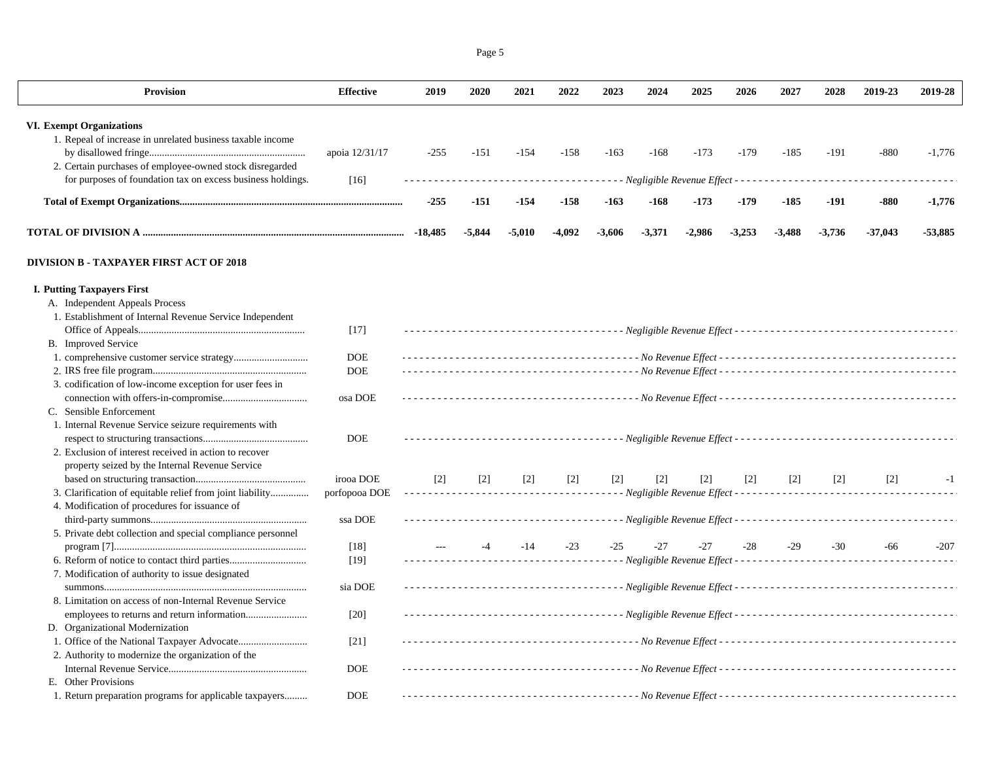| Provision                                                                                     | <b>Effective</b> | 2019      | 2020     | 2021     | 2022   | 2023     | 2024                                    | 2025     | 2026     | 2027                                                                                                                                                 | 2028     | 2019-23   | 2019-28   |
|-----------------------------------------------------------------------------------------------|------------------|-----------|----------|----------|--------|----------|-----------------------------------------|----------|----------|------------------------------------------------------------------------------------------------------------------------------------------------------|----------|-----------|-----------|
|                                                                                               |                  |           |          |          |        |          |                                         |          |          |                                                                                                                                                      |          |           |           |
| <b>VI. Exempt Organizations</b><br>1. Repeal of increase in unrelated business taxable income |                  |           |          |          |        |          |                                         |          |          |                                                                                                                                                      |          |           |           |
|                                                                                               | apoia 12/31/17   | $-255$    | $-151$   | $-154$   | $-158$ | $-163$   | $-168$                                  | $-173$   | $-179$   | $-185$                                                                                                                                               | $-191$   | $-880$    | $-1,776$  |
| 2. Certain purchases of employee-owned stock disregarded                                      |                  |           |          |          |        |          |                                         |          |          |                                                                                                                                                      |          |           |           |
| for purposes of foundation tax on excess business holdings.                                   |                  |           |          |          |        |          |                                         |          |          | $\frac{1}{2} \left( \frac{1}{2} \right) \left( \frac{1}{2} \right) \left( \frac{1}{2} \right) \left( \frac{1}{2} \right) \left( \frac{1}{2} \right)$ |          |           |           |
|                                                                                               | $[16]$           |           |          |          |        |          | - Negligible Revenue Effect - - - - - - |          |          |                                                                                                                                                      |          |           |           |
|                                                                                               |                  | $-255$    | $-151$   | $-154$   | $-158$ | $-163$   | $-168$                                  | $-173$   | $-179$   | $-185$                                                                                                                                               | -191     | -880      | $-1,776$  |
|                                                                                               |                  | $-18,485$ | $-5,844$ | $-5,010$ | -4,092 | $-3,606$ | $-3,371$                                | $-2,986$ | $-3,253$ | $-3,488$                                                                                                                                             | $-3,736$ | $-37,043$ | $-53,885$ |
| <b>DIVISION B - TAXPAYER FIRST ACT OF 2018</b>                                                |                  |           |          |          |        |          |                                         |          |          |                                                                                                                                                      |          |           |           |
| <b>I. Putting Taxpayers First</b>                                                             |                  |           |          |          |        |          |                                         |          |          |                                                                                                                                                      |          |           |           |
| A. Independent Appeals Process                                                                |                  |           |          |          |        |          |                                         |          |          |                                                                                                                                                      |          |           |           |
| 1. Establishment of Internal Revenue Service Independent                                      |                  |           |          |          |        |          |                                         |          |          |                                                                                                                                                      |          |           |           |
|                                                                                               | $[17]$           |           |          |          |        |          |                                         |          |          |                                                                                                                                                      |          |           |           |
| B. Improved Service                                                                           |                  |           |          |          |        |          |                                         |          |          |                                                                                                                                                      |          |           |           |
|                                                                                               | <b>DOE</b>       |           |          |          |        |          |                                         |          |          |                                                                                                                                                      |          |           |           |
|                                                                                               | <b>DOE</b>       |           |          |          |        |          |                                         |          |          |                                                                                                                                                      |          |           |           |
| 3. codification of low-income exception for user fees in                                      |                  |           |          |          |        |          |                                         |          |          |                                                                                                                                                      |          |           |           |
|                                                                                               | osa DOE          |           |          |          |        |          |                                         |          |          |                                                                                                                                                      |          |           |           |
| C. Sensible Enforcement                                                                       |                  |           |          |          |        |          |                                         |          |          |                                                                                                                                                      |          |           |           |
| 1. Internal Revenue Service seizure requirements with                                         |                  |           |          |          |        |          |                                         |          |          |                                                                                                                                                      |          |           |           |
|                                                                                               | <b>DOE</b>       |           |          |          |        |          |                                         |          |          |                                                                                                                                                      |          |           |           |
| 2. Exclusion of interest received in action to recover                                        |                  |           |          |          |        |          |                                         |          |          |                                                                                                                                                      |          |           |           |
| property seized by the Internal Revenue Service                                               |                  |           |          |          |        |          |                                         |          |          |                                                                                                                                                      |          |           |           |
|                                                                                               | irooa DOE        | $[2]$     | $[2]$    | $[2]$    | $[2]$  | $[2]$    | $[2]$                                   | $[2]$    | $[2]$    | $[2]$                                                                                                                                                | $[2]$    | $[2]$     | $-1$      |
| 3. Clarification of equitable relief from joint liability                                     | porfopooa DOE    |           |          |          |        |          |                                         |          |          |                                                                                                                                                      |          |           |           |
| 4. Modification of procedures for issuance of                                                 |                  |           |          |          |        |          |                                         |          |          |                                                                                                                                                      |          |           |           |
|                                                                                               | ssa DOE          |           |          |          |        |          |                                         |          |          |                                                                                                                                                      |          |           |           |
| 5. Private debt collection and special compliance personnel                                   |                  |           |          |          |        |          |                                         |          |          |                                                                                                                                                      |          |           |           |
|                                                                                               | [18]             |           | $-4$     | $-14$    | $-23$  | $-25$    | $-27$                                   | $-27$    | $-28$    | $-29$                                                                                                                                                | $-30$    | -66       | $-207$    |
|                                                                                               | $[19]$           |           |          |          |        |          |                                         |          |          |                                                                                                                                                      |          |           |           |
| 7. Modification of authority to issue designated                                              |                  |           |          |          |        |          |                                         |          |          |                                                                                                                                                      |          |           |           |
|                                                                                               | sia DOE          |           |          |          |        |          |                                         |          |          |                                                                                                                                                      |          |           |           |
| 8. Limitation on access of non-Internal Revenue Service                                       |                  |           |          |          |        |          |                                         |          |          |                                                                                                                                                      |          |           |           |
|                                                                                               | $[20]$           |           |          |          |        |          |                                         |          |          |                                                                                                                                                      |          |           |           |
| D. Organizational Modernization                                                               |                  |           |          |          |        |          |                                         |          |          |                                                                                                                                                      |          |           |           |
|                                                                                               | $[21]$           |           |          |          |        |          |                                         |          |          |                                                                                                                                                      |          |           |           |
| 2. Authority to modernize the organization of the                                             |                  |           |          |          |        |          |                                         |          |          |                                                                                                                                                      |          |           |           |
|                                                                                               | <b>DOE</b>       |           |          |          |        |          |                                         |          |          |                                                                                                                                                      |          |           |           |
| E. Other Provisions                                                                           |                  |           |          |          |        |          |                                         |          |          |                                                                                                                                                      |          |           |           |
| 1. Return preparation programs for applicable taxpayers                                       | <b>DOE</b>       |           |          |          |        |          |                                         |          |          |                                                                                                                                                      |          |           |           |

Page 5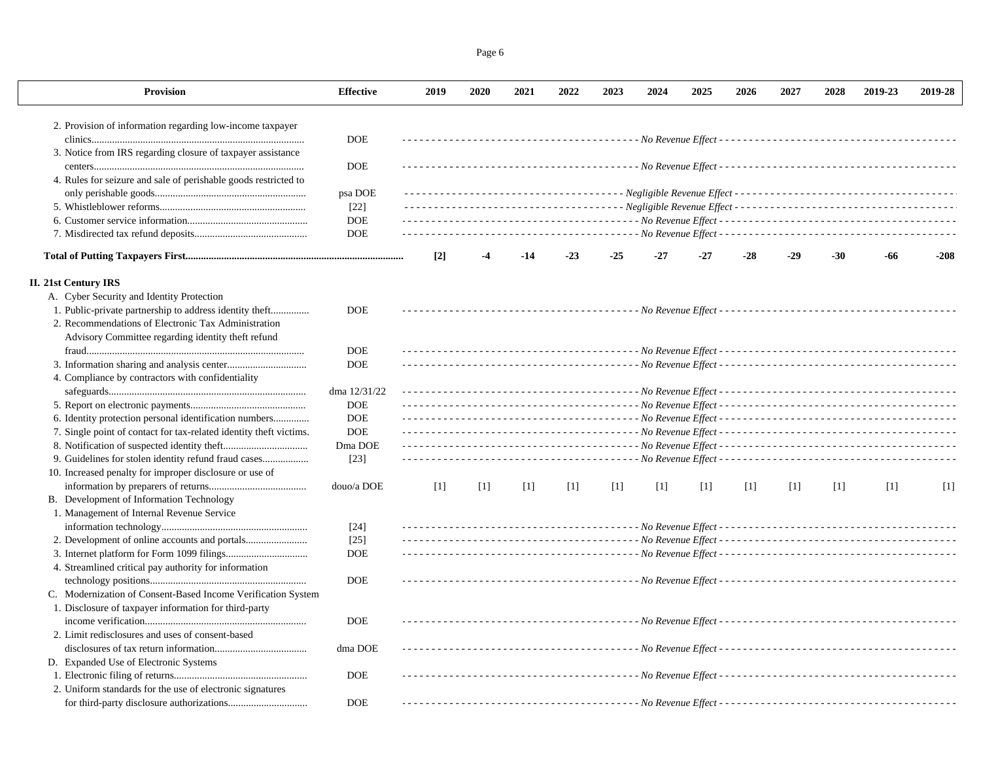| Page 6 |  |
|--------|--|
|        |  |

| Provision                                                                                                             | <b>Effective</b> | 2019  | 2020  | 2021  | 2022  | 2023  | 2024  | 2025  | 2026  | 2027  | 2028  | 2019-23 | 2019-28 |
|-----------------------------------------------------------------------------------------------------------------------|------------------|-------|-------|-------|-------|-------|-------|-------|-------|-------|-------|---------|---------|
| 2. Provision of information regarding low-income taxpayer                                                             |                  |       |       |       |       |       |       |       |       |       |       |         |         |
|                                                                                                                       | <b>DOE</b>       |       |       |       |       |       |       |       |       |       |       |         |         |
| 3. Notice from IRS regarding closure of taxpayer assistance                                                           |                  |       |       |       |       |       |       |       |       |       |       |         |         |
|                                                                                                                       | <b>DOE</b>       |       |       |       |       |       |       |       |       |       |       |         |         |
| 4. Rules for seizure and sale of perishable goods restricted to                                                       |                  |       |       |       |       |       |       |       |       |       |       |         |         |
|                                                                                                                       | psa DOE          |       |       |       |       |       |       |       |       |       |       |         |         |
|                                                                                                                       | $[22]$           |       |       |       |       |       |       |       |       |       |       |         |         |
|                                                                                                                       | <b>DOE</b>       |       |       |       |       |       |       |       |       |       |       |         |         |
|                                                                                                                       | <b>DOE</b>       |       |       |       |       |       |       |       |       |       |       |         |         |
|                                                                                                                       |                  | $[2]$ | -4    | $-14$ | $-23$ | $-25$ | $-27$ | $-27$ | -28   | $-29$ | $-30$ | -66     | $-208$  |
| <b>II. 21st Century IRS</b>                                                                                           |                  |       |       |       |       |       |       |       |       |       |       |         |         |
| A. Cyber Security and Identity Protection                                                                             |                  |       |       |       |       |       |       |       |       |       |       |         |         |
| 1. Public-private partnership to address identity theft                                                               | <b>DOE</b>       |       |       |       |       |       |       |       |       |       |       |         |         |
| 2. Recommendations of Electronic Tax Administration                                                                   |                  |       |       |       |       |       |       |       |       |       |       |         |         |
| Advisory Committee regarding identity theft refund                                                                    |                  |       |       |       |       |       |       |       |       |       |       |         |         |
|                                                                                                                       | <b>DOE</b>       |       |       |       |       |       |       |       |       |       |       |         |         |
|                                                                                                                       | <b>DOE</b>       |       |       |       |       |       |       |       |       |       |       |         |         |
| 4. Compliance by contractors with confidentiality                                                                     |                  |       |       |       |       |       |       |       |       |       |       |         |         |
|                                                                                                                       | dma 12/31/22     |       |       |       |       |       |       |       |       |       |       |         |         |
|                                                                                                                       | <b>DOE</b>       |       |       |       |       |       |       |       |       |       |       |         |         |
| 6. Identity protection personal identification numbers                                                                | $DOE$            |       |       |       |       |       |       |       |       |       |       |         |         |
| 7. Single point of contact for tax-related identity theft victims.                                                    | <b>DOE</b>       |       |       |       |       |       |       |       |       |       |       |         |         |
|                                                                                                                       | Dma DOE          |       |       |       |       |       |       |       |       |       |       |         |         |
| 9. Guidelines for stolen identity refund fraud cases                                                                  | $[23]$           |       |       |       |       |       |       |       |       |       |       |         |         |
| 10. Increased penalty for improper disclosure or use of                                                               |                  |       |       |       |       |       |       |       |       |       |       |         |         |
|                                                                                                                       | douo/a DOE       | $[1]$ | $[1]$ | $[1]$ | $[1]$ | $[1]$ | $[1]$ | $[1]$ | $[1]$ | $[1]$ | $[1]$ | $[1]$   | $[1]$   |
| B. Development of Information Technology                                                                              |                  |       |       |       |       |       |       |       |       |       |       |         |         |
| 1. Management of Internal Revenue Service                                                                             |                  |       |       |       |       |       |       |       |       |       |       |         |         |
|                                                                                                                       | $[24]$           |       |       |       |       |       |       |       |       |       |       |         |         |
|                                                                                                                       | $[25]$           |       |       |       |       |       |       |       |       |       |       |         |         |
|                                                                                                                       | <b>DOE</b>       |       |       |       |       |       |       |       |       |       |       |         |         |
| 4. Streamlined critical pay authority for information                                                                 |                  |       |       |       |       |       |       |       |       |       |       |         |         |
|                                                                                                                       | <b>DOE</b>       |       |       |       |       |       |       |       |       |       |       |         |         |
|                                                                                                                       |                  |       |       |       |       |       |       |       |       |       |       |         |         |
| C. Modernization of Consent-Based Income Verification System<br>1. Disclosure of taxpayer information for third-party |                  |       |       |       |       |       |       |       |       |       |       |         |         |
|                                                                                                                       |                  |       |       |       |       |       |       |       |       |       |       |         |         |
|                                                                                                                       | <b>DOE</b>       |       |       |       |       |       |       |       |       |       |       |         |         |
| 2. Limit redisclosures and uses of consent-based                                                                      |                  |       |       |       |       |       |       |       |       |       |       |         |         |
|                                                                                                                       | dma DOE          |       |       |       |       |       |       |       |       |       |       |         |         |
| D. Expanded Use of Electronic Systems                                                                                 |                  |       |       |       |       |       |       |       |       |       |       |         |         |
|                                                                                                                       | <b>DOE</b>       |       |       |       |       |       |       |       |       |       |       |         |         |
| 2. Uniform standards for the use of electronic signatures                                                             |                  |       |       |       |       |       |       |       |       |       |       |         |         |
|                                                                                                                       | <b>DOE</b>       |       |       |       |       |       |       |       |       |       |       |         |         |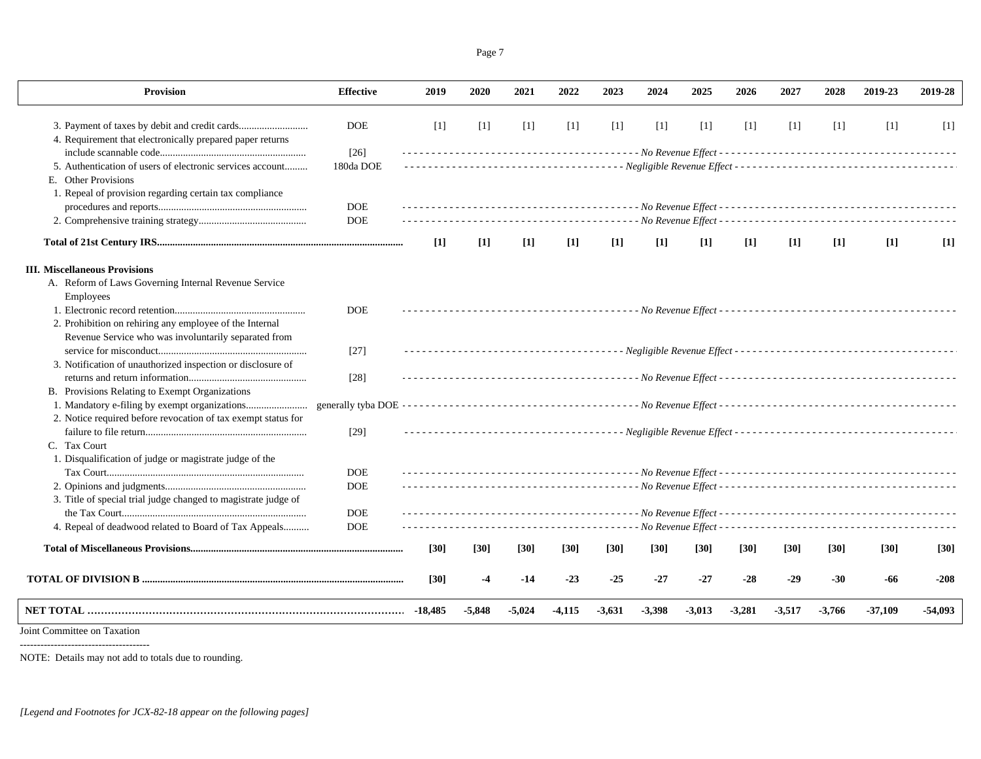| <b>Provision</b>                                               | <b>Effective</b> | 2019      | 2020     | 2021     | 2022     | 2023     | 2024     | 2025              | 2026              | 2027     | 2028     | 2019-23           | 2019-28   |
|----------------------------------------------------------------|------------------|-----------|----------|----------|----------|----------|----------|-------------------|-------------------|----------|----------|-------------------|-----------|
|                                                                | <b>DOE</b>       | $[1]$     | $[1]$    | $[1]$    | [1]      | $[1]$    | $[1]$    | $[1]$             | $[1]$             | $[1]$    | $[1]$    | $\lceil 1 \rceil$ | $[1]$     |
| 4. Requirement that electronically prepared paper returns      |                  |           |          |          |          |          |          |                   |                   |          |          |                   |           |
|                                                                | $[26]$           |           |          |          |          |          |          |                   |                   |          |          |                   |           |
| 5. Authentication of users of electronic services account      | 180da DOE        |           |          |          |          |          |          |                   |                   |          |          |                   |           |
| E. Other Provisions                                            |                  |           |          |          |          |          |          |                   |                   |          |          |                   |           |
| 1. Repeal of provision regarding certain tax compliance        |                  |           |          |          |          |          |          |                   |                   |          |          |                   |           |
|                                                                | <b>DOE</b>       |           |          |          |          |          |          |                   |                   |          |          |                   |           |
|                                                                | <b>DOE</b>       |           |          |          |          |          |          |                   |                   |          |          |                   |           |
|                                                                |                  | $[1]$     | $[1]$    | $[1]$    | $[1]$    | $[1]$    | $[1]$    | $\lceil 1 \rceil$ | $\lceil 1 \rceil$ | $[1]$    | $[1]$    | $[1]$             | $[1]$     |
| <b>III. Miscellaneous Provisions</b>                           |                  |           |          |          |          |          |          |                   |                   |          |          |                   |           |
| A. Reform of Laws Governing Internal Revenue Service           |                  |           |          |          |          |          |          |                   |                   |          |          |                   |           |
| Employees                                                      |                  |           |          |          |          |          |          |                   |                   |          |          |                   |           |
|                                                                | <b>DOE</b>       |           |          |          |          |          |          |                   |                   |          |          |                   |           |
| 2. Prohibition on rehiring any employee of the Internal        |                  |           |          |          |          |          |          |                   |                   |          |          |                   |           |
| Revenue Service who was involuntarily separated from           |                  |           |          |          |          |          |          |                   |                   |          |          |                   |           |
|                                                                | $[27]$           |           |          |          |          |          |          |                   |                   |          |          |                   |           |
| 3. Notification of unauthorized inspection or disclosure of    |                  |           |          |          |          |          |          |                   |                   |          |          |                   |           |
|                                                                | $[28]$           |           |          |          |          |          |          |                   |                   |          |          |                   |           |
| B. Provisions Relating to Exempt Organizations                 |                  |           |          |          |          |          |          |                   |                   |          |          |                   |           |
|                                                                |                  |           |          |          |          |          |          |                   |                   |          |          |                   |           |
| 2. Notice required before revocation of tax exempt status for  |                  |           |          |          |          |          |          |                   |                   |          |          |                   |           |
|                                                                | $[29]$           |           |          |          |          |          |          |                   |                   |          |          |                   |           |
| C. Tax Court                                                   |                  |           |          |          |          |          |          |                   |                   |          |          |                   |           |
| 1. Disqualification of judge or magistrate judge of the        |                  |           |          |          |          |          |          |                   |                   |          |          |                   |           |
|                                                                | <b>DOE</b>       |           |          |          |          |          |          |                   |                   |          |          |                   |           |
|                                                                | <b>DOE</b>       |           |          |          |          |          |          |                   |                   |          |          |                   |           |
| 3. Title of special trial judge changed to magistrate judge of |                  |           |          |          |          |          |          |                   |                   |          |          |                   |           |
|                                                                | <b>DOE</b>       |           |          |          |          |          |          |                   |                   |          |          |                   |           |
| 4. Repeal of deadwood related to Board of Tax Appeals          | <b>DOE</b>       |           |          |          |          |          |          |                   |                   |          |          |                   |           |
|                                                                |                  | $[30]$    | $[30]$   | $[30]$   | $[30]$   | $[30]$   | $[30]$   | [30]              | $[30]$            | $[30]$   | $[30]$   | [30]              | $[30]$    |
|                                                                |                  | $[30]$    | $-4$     | $-14$    | $-23$    | $-25$    | $-27$    | $-27$             | $-28$             | $-29$    | $-30$    | -66               | $-208$    |
|                                                                |                  | $-18,485$ | $-5,848$ | $-5,024$ | $-4,115$ | $-3,631$ | $-3,398$ | $-3,013$          | $-3,281$          | $-3,517$ | $-3,766$ | $-37,109$         | $-54,093$ |
| Loint Committee on Tavation                                    |                  |           |          |          |          |          |          |                   |                   |          |          |                   |           |

Joint Committee on Taxation --------------------------------------

NOTE: Details may not add to totals due to rounding.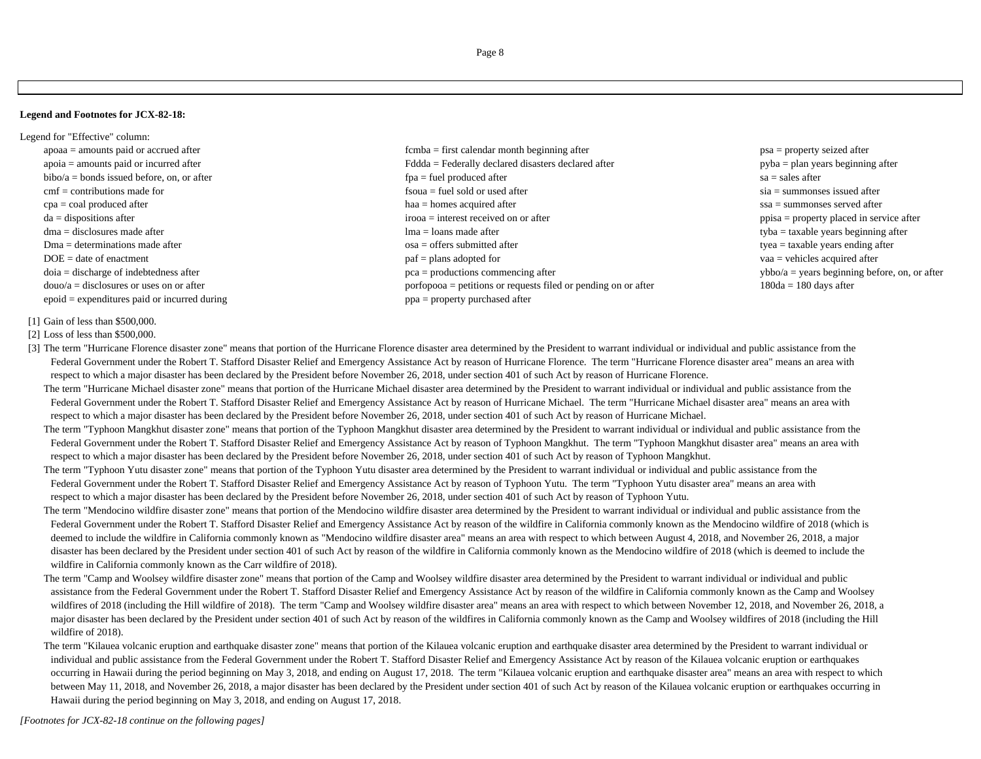**Legend and Footnotes for JCX-82-18:**

- Legend for "Effective" column: apoaa = amounts paid or accrued after **first** extended by  $\sum_{n=1}^{\infty}$  first calendar month beginning after **psa** = property seized after epoid = expenditures paid or incurred during ppa = property purchased after
	- apoia = amounts paid or incurred after example after Federally declared disasters declared after pyba = plan years beginning after bibo/a = bonds issued before, on, or after fpa = fuel produced after sa = sales after sa = sales after sa = sales after cmf = contributions made for fsoua = fuel sold or used after sia = summonses issued after sia = summonses issued after cpa = coal produced after haa = homes acquired after has acquired after ssa = summonses served after ssa = summonses served after da = dispositions after irooa = interest received on or after interest received on or after ppisa = property placed in service after dma = disclosures made after tyba = taxable years beginning after tyba = taxable years beginning after Dma = determinations made after example after osa = offers submitted after types = taxable years ending after tyea = taxable years ending after DOE = date of enactment vaa = vehicles acquired after part = plans adopted for vaa = vehicles acquired after doia = discharge of indebtedness after examples after pca = productions commencing after ybbo/a = years beginning before, on, or after douo/a = disclosures or uses on or after example por toponoo = petitions or requests filed or pending on or after 180 days after 180 days after
- 

### [1] Gain of less than \$500,000.

[2] Loss of less than \$500,000.

- [3] The term "Hurricane Florence disaster zone" means that portion of the Hurricane Florence disaster area determined by the President to warrant individual or individual and public assistance from the Federal Government under the Robert T. Stafford Disaster Relief and Emergency Assistance Act by reason of Hurricane Florence. The term "Hurricane Florence disaster area" means an area with respect to which a major disaster has been declared by the President before November 26, 2018, under section 401 of such Act by reason of Hurricane Florence.
	- The term "Hurricane Michael disaster zone" means that portion of the Hurricane Michael disaster area determined by the President to warrant individual or individual and public assistance from the Federal Government under the Robert T. Stafford Disaster Relief and Emergency Assistance Act by reason of Hurricane Michael. The term "Hurricane Michael disaster area" means an area with respect to which a major disaster has been declared by the President before November 26, 2018, under section 401 of such Act by reason of Hurricane Michael.
	- The term "Typhoon Mangkhut disaster zone" means that portion of the Typhoon Mangkhut disaster area determined by the President to warrant individual or individual and public assistance from the Federal Government under the Robert T. Stafford Disaster Relief and Emergency Assistance Act by reason of Typhoon Mangkhut. The term "Typhoon Mangkhut disaster area" means an area with respect to which a major disaster has been declared by the President before November 26, 2018, under section 401 of such Act by reason of Typhoon Mangkhut.
	- The term "Typhoon Yutu disaster zone" means that portion of the Typhoon Yutu disaster area determined by the President to warrant individual or individual and public assistance from the Federal Government under the Robert T. Stafford Disaster Relief and Emergency Assistance Act by reason of Typhoon Yutu. The term "Typhoon Yutu disaster area" means an area with respect to which a major disaster has been declared by the President before November 26, 2018, under section 401 of such Act by reason of Typhoon Yutu.
	- The term "Mendocino wildfire disaster zone" means that portion of the Mendocino wildfire disaster area determined by the President to warrant individual or individual and public assistance from the Federal Government under the Robert T. Stafford Disaster Relief and Emergency Assistance Act by reason of the wildfire in California commonly known as the Mendocino wildfire of 2018 (which is deemed to include the wildfire in California commonly known as "Mendocino wildfire disaster area" means an area with respect to which between August 4, 2018, and November 26, 2018, a major disaster has been declared by the President under section 401 of such Act by reason of the wildfire in California commonly known as the Mendocino wildfire of 2018 (which is deemed to include the wildfire in California commonly known as the Carr wildfire of 2018).
	- The term "Camp and Woolsey wildfire disaster zone" means that portion of the Camp and Woolsey wildfire disaster area determined by the President to warrant individual or individual and public assistance from the Federal Government under the Robert T. Stafford Disaster Relief and Emergency Assistance Act by reason of the wildfire in California commonly known as the Camp and Woolsey wildfires of 2018 (including the Hill wildfire of 2018). The term "Camp and Woolsey wildfire disaster area" means an area with respect to which between November 12, 2018, and November 26, 2018, a major disaster has been declared by the President under section 401 of such Act by reason of the wildfires in California commonly known as the Camp and Woolsey wildfires of 2018 (including the Hill wildfire of 2018).
	- The term "Kilauea volcanic eruption and earthquake disaster zone" means that portion of the Kilauea volcanic eruption and earthquake disaster area determined by the President to warrant individual or individual and public assistance from the Federal Government under the Robert T. Stafford Disaster Relief and Emergency Assistance Act by reason of the Kilauea volcanic eruption or earthquakes occurring in Hawaii during the period beginning on May 3, 2018, and ending on August 17, 2018. The term "Kilauea volcanic eruption and earthquake disaster area" means an area with respect to which between May 11, 2018, and November 26, 2018, a major disaster has been declared by the President under section 401 of such Act by reason of the Kilauea volcanic eruption or earthquakes occurring in Hawaii during the period beginning on May 3, 2018, and ending on August 17, 2018.

*[Footnotes for JCX-82-18 continue on the following pages]*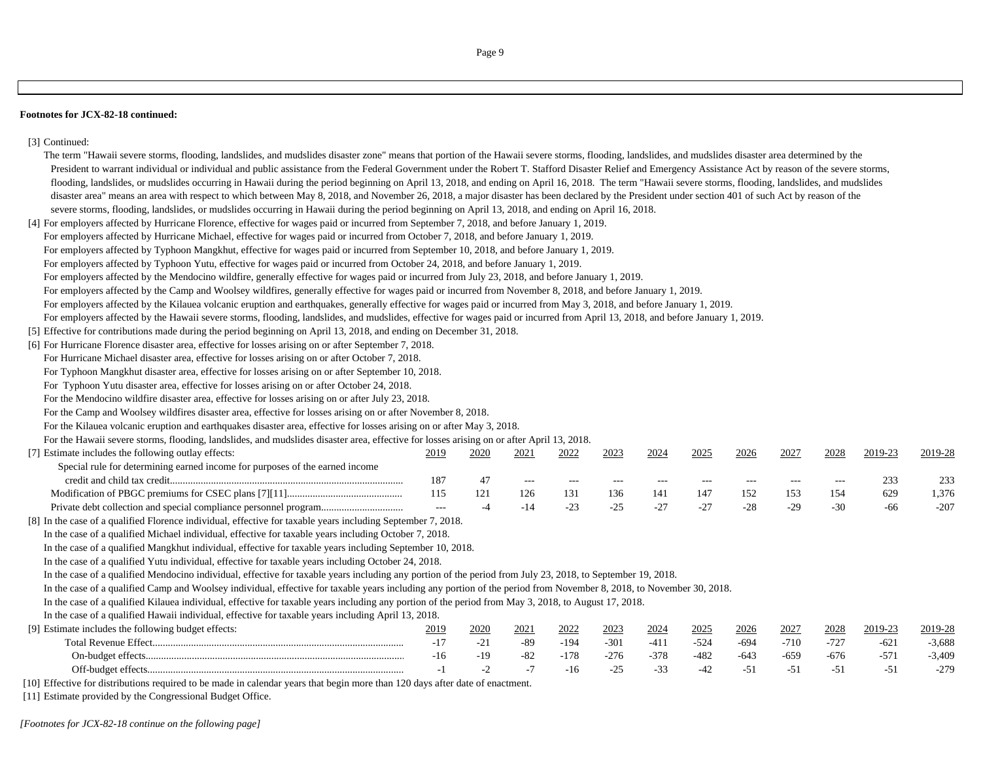#### **Footnotes for JCX-82-18 continued:**

# [3] Continued:

| The term "Hawaii severe storms, flooding, landslides, and mudslides disaster zone" means that portion of the Hawaii severe storms, flooding, landslides, and mudslides disaster area determined by the    |               |       |       |                   |        |        |        |        |        |          |         |          |
|-----------------------------------------------------------------------------------------------------------------------------------------------------------------------------------------------------------|---------------|-------|-------|-------------------|--------|--------|--------|--------|--------|----------|---------|----------|
| President to warrant individual or individual and public assistance from the Federal Government under the Robert T. Stafford Disaster Relief and Emergency Assistance Act by reason of the severe storms, |               |       |       |                   |        |        |        |        |        |          |         |          |
| flooding, landslides, or mudslides occurring in Hawaii during the period beginning on April 13, 2018, and ending on April 16, 2018. The term "Hawaii severe storms, flooding, landslides, and mudslides   |               |       |       |                   |        |        |        |        |        |          |         |          |
| disaster area" means an area with respect to which between May 8, 2018, and November 26, 2018, a major disaster has been declared by the President under section 401 of such Act by reason of the         |               |       |       |                   |        |        |        |        |        |          |         |          |
| severe storms, flooding, landslides, or mudslides occurring in Hawaii during the period beginning on April 13, 2018, and ending on April 16, 2018.                                                        |               |       |       |                   |        |        |        |        |        |          |         |          |
| [4] For employers affected by Hurricane Florence, effective for wages paid or incurred from September 7, 2018, and before January 1, 2019.                                                                |               |       |       |                   |        |        |        |        |        |          |         |          |
| For employers affected by Hurricane Michael, effective for wages paid or incurred from October 7, 2018, and before January 1, 2019.                                                                       |               |       |       |                   |        |        |        |        |        |          |         |          |
| For employers affected by Typhoon Mangkhut, effective for wages paid or incurred from September 10, 2018, and before January 1, 2019.                                                                     |               |       |       |                   |        |        |        |        |        |          |         |          |
| For employers affected by Typhoon Yutu, effective for wages paid or incurred from October 24, 2018, and before January 1, 2019.                                                                           |               |       |       |                   |        |        |        |        |        |          |         |          |
| For employers affected by the Mendocino wildfire, generally effective for wages paid or incurred from July 23, 2018, and before January 1, 2019.                                                          |               |       |       |                   |        |        |        |        |        |          |         |          |
| For employers affected by the Camp and Woolsey wildfires, generally effective for wages paid or incurred from November 8, 2018, and before January 1, 2019.                                               |               |       |       |                   |        |        |        |        |        |          |         |          |
| For employers affected by the Kilauea volcanic eruption and earthquakes, generally effective for wages paid or incurred from May 3, 2018, and before January 1, 2019.                                     |               |       |       |                   |        |        |        |        |        |          |         |          |
| For employers affected by the Hawaii severe storms, flooding, landslides, and mudslides, effective for wages paid or incurred from April 13, 2018, and before January 1, 2019.                            |               |       |       |                   |        |        |        |        |        |          |         |          |
| [5] Effective for contributions made during the period beginning on April 13, 2018, and ending on December 31, 2018.                                                                                      |               |       |       |                   |        |        |        |        |        |          |         |          |
| [6] For Hurricane Florence disaster area, effective for losses arising on or after September 7, 2018.                                                                                                     |               |       |       |                   |        |        |        |        |        |          |         |          |
| For Hurricane Michael disaster area, effective for losses arising on or after October 7, 2018.                                                                                                            |               |       |       |                   |        |        |        |        |        |          |         |          |
| For Typhoon Mangkhut disaster area, effective for losses arising on or after September 10, 2018.                                                                                                          |               |       |       |                   |        |        |        |        |        |          |         |          |
| For Typhoon Yutu disaster area, effective for losses arising on or after October 24, 2018.                                                                                                                |               |       |       |                   |        |        |        |        |        |          |         |          |
| For the Mendocino wildfire disaster area, effective for losses arising on or after July 23, 2018.                                                                                                         |               |       |       |                   |        |        |        |        |        |          |         |          |
| For the Camp and Woolsey wildfires disaster area, effective for losses arising on or after November 8, 2018.                                                                                              |               |       |       |                   |        |        |        |        |        |          |         |          |
| For the Kilauea volcanic eruption and earthquakes disaster area, effective for losses arising on or after May 3, 2018.                                                                                    |               |       |       |                   |        |        |        |        |        |          |         |          |
| For the Hawaii severe storms, flooding, landslides, and mudslides disaster area, effective for losses arising on or after April 13, 2018.                                                                 |               |       |       |                   |        |        |        |        |        |          |         |          |
| [7] Estimate includes the following outlay effects:                                                                                                                                                       | 2019          | 2020  | 2021  | 2022              | 2023   | 2024   | 2025   | 2026   | 2027   | 2028     | 2019-23 | 2019-28  |
| Special rule for determining earned income for purposes of the earned income                                                                                                                              |               |       |       |                   |        |        |        |        |        |          |         |          |
|                                                                                                                                                                                                           | 187           | 47    | $--$  | $\qquad \qquad -$ | $---$  | $---$  | $---$  | $---$  | $---$  | $\cdots$ | 233     | 233      |
|                                                                                                                                                                                                           | 115           | 121   | 126   | 131               | 136    | 141    | 147    | 152    | 153    | 154      | 629     | 1,376    |
|                                                                                                                                                                                                           | $\sim$ $\sim$ | $-4$  | $-14$ | $-23$             | $-25$  | $-27$  | $-27$  | $-28$  | $-29$  | $-30$    | -66     | $-207$   |
| [8] In the case of a qualified Florence individual, effective for taxable years including September 7, 2018.                                                                                              |               |       |       |                   |        |        |        |        |        |          |         |          |
| In the case of a qualified Michael individual, effective for taxable years including October 7, 2018.                                                                                                     |               |       |       |                   |        |        |        |        |        |          |         |          |
| In the case of a qualified Mangkhut individual, effective for taxable years including September 10, 2018.                                                                                                 |               |       |       |                   |        |        |        |        |        |          |         |          |
| In the case of a qualified Yutu individual, effective for taxable years including October 24, 2018.                                                                                                       |               |       |       |                   |        |        |        |        |        |          |         |          |
| In the case of a qualified Mendocino individual, effective for taxable years including any portion of the period from July 23, 2018, to September 19, 2018.                                               |               |       |       |                   |        |        |        |        |        |          |         |          |
| In the case of a qualified Camp and Woolsey individual, effective for taxable years including any portion of the period from November 8, 2018, to November 30, 2018.                                      |               |       |       |                   |        |        |        |        |        |          |         |          |
| In the case of a qualified Kilauea individual, effective for taxable years including any portion of the period from May 3, 2018, to August 17, 2018.                                                      |               |       |       |                   |        |        |        |        |        |          |         |          |
| In the case of a qualified Hawaii individual, effective for taxable years including April 13, 2018.                                                                                                       |               |       |       |                   |        |        |        |        |        |          |         |          |
| [9] Estimate includes the following budget effects:                                                                                                                                                       | 2019          | 2020  | 2021  | 2022              | 2023   | 2024   | 2025   | 2026   | 2027   | 2028     | 2019-23 | 2019-28  |
|                                                                                                                                                                                                           | $-17$         | $-21$ | $-89$ | $-194$            | $-301$ | $-411$ | $-524$ | $-694$ | $-710$ | $-727$   | $-621$  | $-3,688$ |
|                                                                                                                                                                                                           | $-16$         | $-19$ | $-82$ | $-178$            | $-276$ | $-378$ | $-482$ | $-643$ | $-659$ | $-676$   | $-571$  | $-3,409$ |
|                                                                                                                                                                                                           | $-1$          | $-2$  | $-7$  | $-16$             | $-25$  | $-33$  | $-42$  | $-51$  | $-51$  | $-51$    | $-51$   | $-279$   |
| the contract of the contract of the contract of the contract of the contract of the contract of the contract of                                                                                           |               |       |       |                   |        |        |        |        |        |          |         |          |

[10] Effective for distributions required to be made in calendar years that begin more than 120 days after date of enactment.

[11] Estimate provided by the Congressional Budget Office.